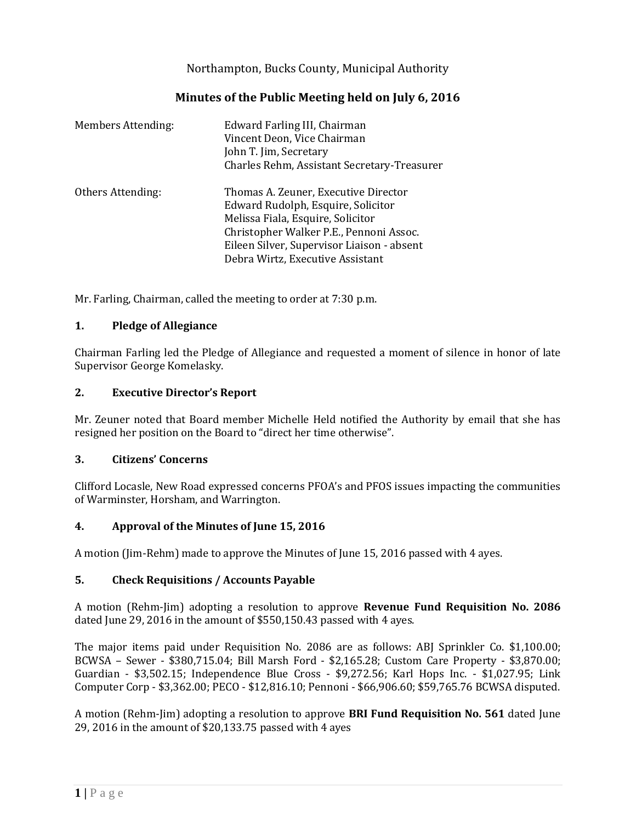Northampton, Bucks County, Municipal Authority

# **Minutes of the Public Meeting held on July 6, 2016**

| <b>Members Attending:</b> | Edward Farling III, Chairman<br>Vincent Deon, Vice Chairman<br>John T. Jim, Secretary<br>Charles Rehm, Assistant Secretary-Treasurer                                                                                                         |
|---------------------------|----------------------------------------------------------------------------------------------------------------------------------------------------------------------------------------------------------------------------------------------|
| Others Attending:         | Thomas A. Zeuner, Executive Director<br>Edward Rudolph, Esquire, Solicitor<br>Melissa Fiala, Esquire, Solicitor<br>Christopher Walker P.E., Pennoni Assoc.<br>Eileen Silver, Supervisor Liaison - absent<br>Debra Wirtz, Executive Assistant |

Mr. Farling, Chairman, called the meeting to order at 7:30 p.m.

## **1. Pledge of Allegiance**

Chairman Farling led the Pledge of Allegiance and requested a moment of silence in honor of late Supervisor George Komelasky.

## **2. Executive Director's Report**

Mr. Zeuner noted that Board member Michelle Held notified the Authority by email that she has resigned her position on the Board to "direct her time otherwise".

### **3. Citizens' Concerns**

Clifford Locasle, New Road expressed concerns PFOA's and PFOS issues impacting the communities of Warminster, Horsham, and Warrington.

# **4. Approval of the Minutes of June 15, 2016**

A motion (Jim-Rehm) made to approve the Minutes of June 15, 2016 passed with 4 ayes.

### **5. Check Requisitions / Accounts Payable**

A motion (Rehm-Jim) adopting a resolution to approve **Revenue Fund Requisition No. 2086** dated June 29, 2016 in the amount of \$550,150.43 passed with 4 ayes.

The major items paid under Requisition No. 2086 are as follows: ABJ Sprinkler Co. \$1,100.00; BCWSA – Sewer - \$380,715.04; Bill Marsh Ford - \$2,165.28; Custom Care Property - \$3,870.00; Guardian - \$3,502.15; Independence Blue Cross - \$9,272.56; Karl Hops Inc. - \$1,027.95; Link Computer Corp - \$3,362.00; PECO - \$12,816.10; Pennoni - \$66,906.60; \$59,765.76 BCWSA disputed.

A motion (Rehm-Jim) adopting a resolution to approve **BRI Fund Requisition No. 561** dated June 29, 2016 in the amount of \$20,133.75 passed with 4 ayes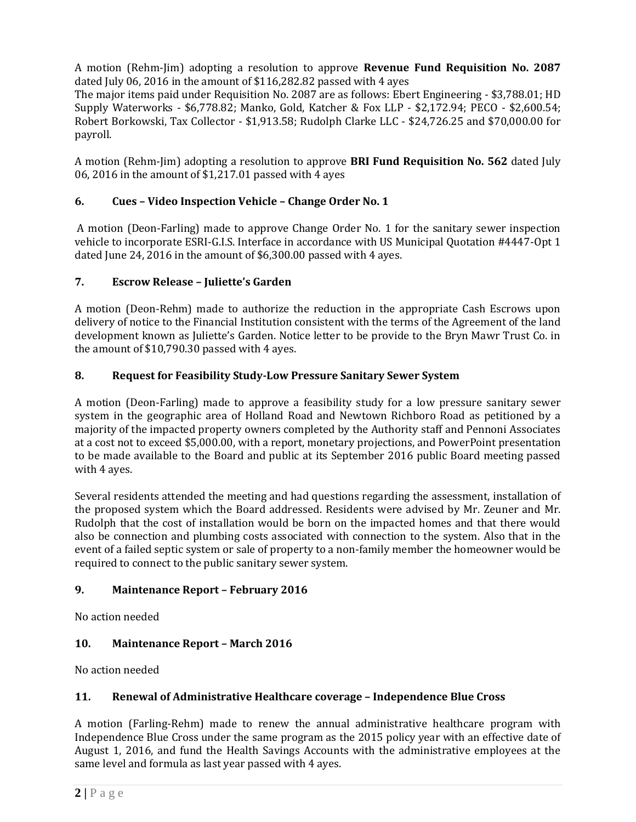A motion (Rehm-Jim) adopting a resolution to approve **Revenue Fund Requisition No. 2087** dated July 06, 2016 in the amount of \$116,282.82 passed with 4 ayes

The major items paid under Requisition No. 2087 are as follows: Ebert Engineering - \$3,788.01; HD Supply Waterworks - \$6,778.82; Manko, Gold, Katcher & Fox LLP - \$2,172.94; PECO - \$2,600.54; Robert Borkowski, Tax Collector - \$1,913.58; Rudolph Clarke LLC - \$24,726.25 and \$70,000.00 for payroll.

A motion (Rehm-Jim) adopting a resolution to approve **BRI Fund Requisition No. 562** dated July 06, 2016 in the amount of \$1,217.01 passed with 4 ayes

## **6. Cues – Video Inspection Vehicle – Change Order No. 1**

A motion (Deon-Farling) made to approve Change Order No. 1 for the sanitary sewer inspection vehicle to incorporate ESRI-G.I.S. Interface in accordance with US Municipal Quotation #4447-Opt 1 dated June 24, 2016 in the amount of \$6,300.00 passed with 4 ayes.

## **7. Escrow Release – Juliette's Garden**

A motion (Deon-Rehm) made to authorize the reduction in the appropriate Cash Escrows upon delivery of notice to the Financial Institution consistent with the terms of the Agreement of the land development known as Juliette's Garden. Notice letter to be provide to the Bryn Mawr Trust Co. in the amount of \$10,790.30 passed with 4 ayes.

## **8. Request for Feasibility Study-Low Pressure Sanitary Sewer System**

A motion (Deon-Farling) made to approve a feasibility study for a low pressure sanitary sewer system in the geographic area of Holland Road and Newtown Richboro Road as petitioned by a majority of the impacted property owners completed by the Authority staff and Pennoni Associates at a cost not to exceed \$5,000.00, with a report, monetary projections, and PowerPoint presentation to be made available to the Board and public at its September 2016 public Board meeting passed with 4 ayes.

Several residents attended the meeting and had questions regarding the assessment, installation of the proposed system which the Board addressed. Residents were advised by Mr. Zeuner and Mr. Rudolph that the cost of installation would be born on the impacted homes and that there would also be connection and plumbing costs associated with connection to the system. Also that in the event of a failed septic system or sale of property to a non-family member the homeowner would be required to connect to the public sanitary sewer system.

### **9. Maintenance Report – February 2016**

No action needed

# **10. Maintenance Report – March 2016**

No action needed

# **11. Renewal of Administrative Healthcare coverage – Independence Blue Cross**

A motion (Farling-Rehm) made to renew the annual administrative healthcare program with Independence Blue Cross under the same program as the 2015 policy year with an effective date of August 1, 2016, and fund the Health Savings Accounts with the administrative employees at the same level and formula as last year passed with 4 ayes.